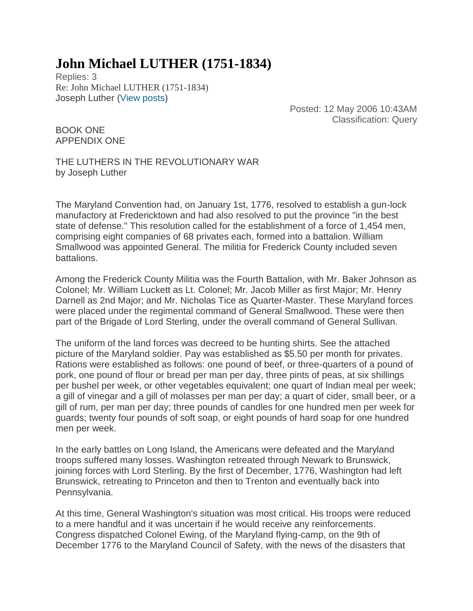## **John Michael LUTHER (1751-1834)**

Replies: 3 Re: John Michael LUTHER (1751-1834) Joseph Luther [\(View posts\)](https://www.ancestry.com/boards/authorposts.aspx?uname=Joseph+Luther&uid=&uem=HPefpKKwyoauRSxmTVzkf6-_UIkx8UMv)

> Posted: 12 May 2006 10:43AM Classification: Query

BOOK ONE APPENDIX ONE

THE LUTHERS IN THE REVOLUTIONARY WAR by Joseph Luther

The Maryland Convention had, on January 1st, 1776, resolved to establish a gun-lock manufactory at Fredericktown and had also resolved to put the province "in the best state of defense." This resolution called for the establishment of a force of 1,454 men, comprising eight companies of 68 privates each, formed into a battalion. William Smallwood was appointed General. The militia for Frederick County included seven battalions.

Among the Frederick County Militia was the Fourth Battalion, with Mr. Baker Johnson as Colonel; Mr. William Luckett as Lt. Colonel; Mr. Jacob Miller as first Major; Mr. Henry Darnell as 2nd Major; and Mr. Nicholas Tice as Quarter-Master. These Maryland forces were placed under the regimental command of General Smallwood. These were then part of the Brigade of Lord Sterling, under the overall command of General Sullivan.

The uniform of the land forces was decreed to be hunting shirts. See the attached picture of the Maryland soldier. Pay was established as \$5.50 per month for privates. Rations were established as follows: one pound of beef, or three-quarters of a pound of pork, one pound of flour or bread per man per day, three pints of peas, at six shillings per bushel per week, or other vegetables equivalent; one quart of Indian meal per week; a gill of vinegar and a gill of molasses per man per day; a quart of cider, small beer, or a gill of rum, per man per day; three pounds of candles for one hundred men per week for guards; twenty four pounds of soft soap, or eight pounds of hard soap for one hundred men per week.

In the early battles on Long Island, the Americans were defeated and the Maryland troops suffered many losses. Washington retreated through Newark to Brunswick, joining forces with Lord Sterling. By the first of December, 1776, Washington had left Brunswick, retreating to Princeton and then to Trenton and eventually back into Pennsylvania.

At this time, General Washington's situation was most critical. His troops were reduced to a mere handful and it was uncertain if he would receive any reinforcements. Congress dispatched Colonel Ewing, of the Maryland flying-camp, on the 9th of December 1776 to the Maryland Council of Safety, with the news of the disasters that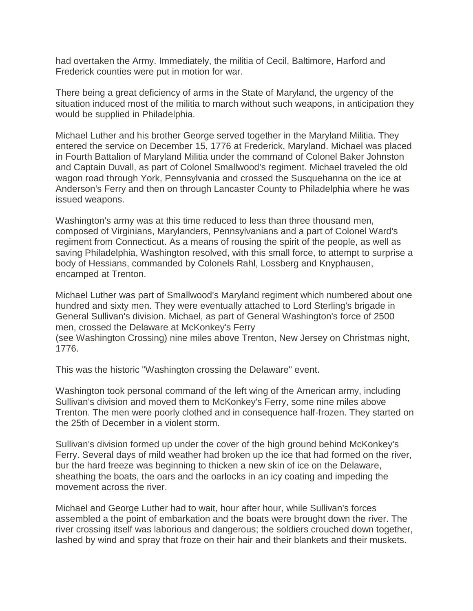had overtaken the Army. Immediately, the militia of Cecil, Baltimore, Harford and Frederick counties were put in motion for war.

There being a great deficiency of arms in the State of Maryland, the urgency of the situation induced most of the militia to march without such weapons, in anticipation they would be supplied in Philadelphia.

Michael Luther and his brother George served together in the Maryland Militia. They entered the service on December 15, 1776 at Frederick, Maryland. Michael was placed in Fourth Battalion of Maryland Militia under the command of Colonel Baker Johnston and Captain Duvall, as part of Colonel Smallwood's regiment. Michael traveled the old wagon road through York, Pennsylvania and crossed the Susquehanna on the ice at Anderson's Ferry and then on through Lancaster County to Philadelphia where he was issued weapons.

Washington's army was at this time reduced to less than three thousand men, composed of Virginians, Marylanders, Pennsylvanians and a part of Colonel Ward's regiment from Connecticut. As a means of rousing the spirit of the people, as well as saving Philadelphia, Washington resolved, with this small force, to attempt to surprise a body of Hessians, commanded by Colonels Rahl, Lossberg and Knyphausen, encamped at Trenton.

Michael Luther was part of Smallwood's Maryland regiment which numbered about one hundred and sixty men. They were eventually attached to Lord Sterling's brigade in General Sullivan's division. Michael, as part of General Washington's force of 2500 men, crossed the Delaware at McKonkey's Ferry

(see Washington Crossing) nine miles above Trenton, New Jersey on Christmas night, 1776.

This was the historic "Washington crossing the Delaware" event.

Washington took personal command of the left wing of the American army, including Sullivan's division and moved them to McKonkey's Ferry, some nine miles above Trenton. The men were poorly clothed and in consequence half-frozen. They started on the 25th of December in a violent storm.

Sullivan's division formed up under the cover of the high ground behind McKonkey's Ferry. Several days of mild weather had broken up the ice that had formed on the river, bur the hard freeze was beginning to thicken a new skin of ice on the Delaware, sheathing the boats, the oars and the oarlocks in an icy coating and impeding the movement across the river.

Michael and George Luther had to wait, hour after hour, while Sullivan's forces assembled a the point of embarkation and the boats were brought down the river. The river crossing itself was laborious and dangerous; the soldiers crouched down together, lashed by wind and spray that froze on their hair and their blankets and their muskets.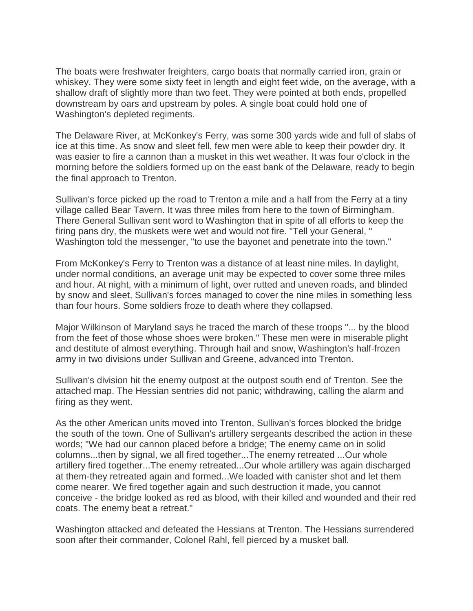The boats were freshwater freighters, cargo boats that normally carried iron, grain or whiskey. They were some sixty feet in length and eight feet wide, on the average, with a shallow draft of slightly more than two feet. They were pointed at both ends, propelled downstream by oars and upstream by poles. A single boat could hold one of Washington's depleted regiments.

The Delaware River, at McKonkey's Ferry, was some 300 yards wide and full of slabs of ice at this time. As snow and sleet fell, few men were able to keep their powder dry. It was easier to fire a cannon than a musket in this wet weather. It was four o'clock in the morning before the soldiers formed up on the east bank of the Delaware, ready to begin the final approach to Trenton.

Sullivan's force picked up the road to Trenton a mile and a half from the Ferry at a tiny village called Bear Tavern. It was three miles from here to the town of Birmingham. There General Sullivan sent word to Washington that in spite of all efforts to keep the firing pans dry, the muskets were wet and would not fire. "Tell your General, " Washington told the messenger, "to use the bayonet and penetrate into the town."

From McKonkey's Ferry to Trenton was a distance of at least nine miles. In daylight, under normal conditions, an average unit may be expected to cover some three miles and hour. At night, with a minimum of light, over rutted and uneven roads, and blinded by snow and sleet, Sullivan's forces managed to cover the nine miles in something less than four hours. Some soldiers froze to death where they collapsed.

Major Wilkinson of Maryland says he traced the march of these troops "... by the blood from the feet of those whose shoes were broken." These men were in miserable plight and destitute of almost everything. Through hail and snow, Washington's half-frozen army in two divisions under Sullivan and Greene, advanced into Trenton.

Sullivan's division hit the enemy outpost at the outpost south end of Trenton. See the attached map. The Hessian sentries did not panic; withdrawing, calling the alarm and firing as they went.

As the other American units moved into Trenton, Sullivan's forces blocked the bridge the south of the town. One of Sullivan's artillery sergeants described the action in these words; "We had our cannon placed before a bridge; The enemy came on in solid columns...then by signal, we all fired together...The enemy retreated ...Our whole artillery fired together...The enemy retreated...Our whole artillery was again discharged at them-they retreated again and formed...We loaded with canister shot and let them come nearer. We fired together again and such destruction it made, you cannot conceive - the bridge looked as red as blood, with their killed and wounded and their red coats. The enemy beat a retreat."

Washington attacked and defeated the Hessians at Trenton. The Hessians surrendered soon after their commander, Colonel Rahl, fell pierced by a musket ball.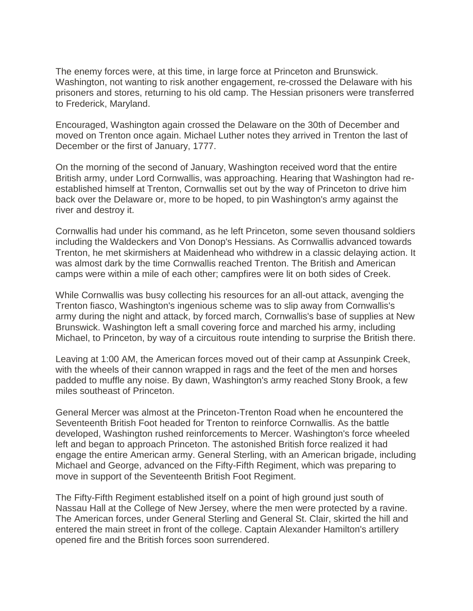The enemy forces were, at this time, in large force at Princeton and Brunswick. Washington, not wanting to risk another engagement, re-crossed the Delaware with his prisoners and stores, returning to his old camp. The Hessian prisoners were transferred to Frederick, Maryland.

Encouraged, Washington again crossed the Delaware on the 30th of December and moved on Trenton once again. Michael Luther notes they arrived in Trenton the last of December or the first of January, 1777.

On the morning of the second of January, Washington received word that the entire British army, under Lord Cornwallis, was approaching. Hearing that Washington had reestablished himself at Trenton, Cornwallis set out by the way of Princeton to drive him back over the Delaware or, more to be hoped, to pin Washington's army against the river and destroy it.

Cornwallis had under his command, as he left Princeton, some seven thousand soldiers including the Waldeckers and Von Donop's Hessians. As Cornwallis advanced towards Trenton, he met skirmishers at Maidenhead who withdrew in a classic delaying action. It was almost dark by the time Cornwallis reached Trenton. The British and American camps were within a mile of each other; campfires were lit on both sides of Creek.

While Cornwallis was busy collecting his resources for an all-out attack, avenging the Trenton fiasco, Washington's ingenious scheme was to slip away from Cornwallis's army during the night and attack, by forced march, Cornwallis's base of supplies at New Brunswick. Washington left a small covering force and marched his army, including Michael, to Princeton, by way of a circuitous route intending to surprise the British there.

Leaving at 1:00 AM, the American forces moved out of their camp at Assunpink Creek, with the wheels of their cannon wrapped in rags and the feet of the men and horses padded to muffle any noise. By dawn, Washington's army reached Stony Brook, a few miles southeast of Princeton.

General Mercer was almost at the Princeton-Trenton Road when he encountered the Seventeenth British Foot headed for Trenton to reinforce Cornwallis. As the battle developed, Washington rushed reinforcements to Mercer. Washington's force wheeled left and began to approach Princeton. The astonished British force realized it had engage the entire American army. General Sterling, with an American brigade, including Michael and George, advanced on the Fifty-Fifth Regiment, which was preparing to move in support of the Seventeenth British Foot Regiment.

The Fifty-Fifth Regiment established itself on a point of high ground just south of Nassau Hall at the College of New Jersey, where the men were protected by a ravine. The American forces, under General Sterling and General St. Clair, skirted the hill and entered the main street in front of the college. Captain Alexander Hamilton's artillery opened fire and the British forces soon surrendered.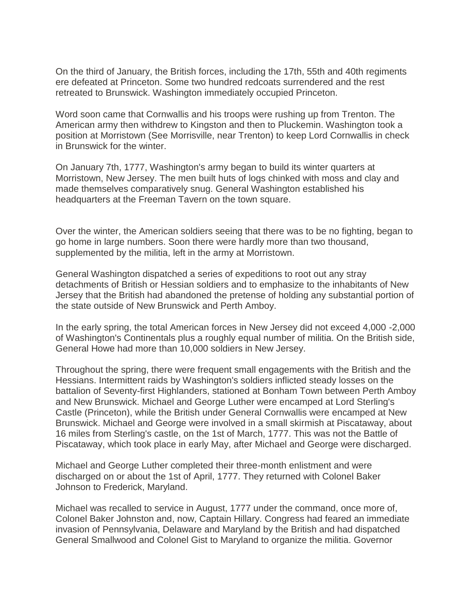On the third of January, the British forces, including the 17th, 55th and 40th regiments ere defeated at Princeton. Some two hundred redcoats surrendered and the rest retreated to Brunswick. Washington immediately occupied Princeton.

Word soon came that Cornwallis and his troops were rushing up from Trenton. The American army then withdrew to Kingston and then to Pluckemin. Washington took a position at Morristown (See Morrisville, near Trenton) to keep Lord Cornwallis in check in Brunswick for the winter.

On January 7th, 1777, Washington's army began to build its winter quarters at Morristown, New Jersey. The men built huts of logs chinked with moss and clay and made themselves comparatively snug. General Washington established his headquarters at the Freeman Tavern on the town square.

Over the winter, the American soldiers seeing that there was to be no fighting, began to go home in large numbers. Soon there were hardly more than two thousand, supplemented by the militia, left in the army at Morristown.

General Washington dispatched a series of expeditions to root out any stray detachments of British or Hessian soldiers and to emphasize to the inhabitants of New Jersey that the British had abandoned the pretense of holding any substantial portion of the state outside of New Brunswick and Perth Amboy.

In the early spring, the total American forces in New Jersey did not exceed 4,000 -2,000 of Washington's Continentals plus a roughly equal number of militia. On the British side, General Howe had more than 10,000 soldiers in New Jersey.

Throughout the spring, there were frequent small engagements with the British and the Hessians. Intermittent raids by Washington's soldiers inflicted steady losses on the battalion of Seventy-first Highlanders, stationed at Bonham Town between Perth Amboy and New Brunswick. Michael and George Luther were encamped at Lord Sterling's Castle (Princeton), while the British under General Cornwallis were encamped at New Brunswick. Michael and George were involved in a small skirmish at Piscataway, about 16 miles from Sterling's castle, on the 1st of March, 1777. This was not the Battle of Piscataway, which took place in early May, after Michael and George were discharged.

Michael and George Luther completed their three-month enlistment and were discharged on or about the 1st of April, 1777. They returned with Colonel Baker Johnson to Frederick, Maryland.

Michael was recalled to service in August, 1777 under the command, once more of, Colonel Baker Johnston and, now, Captain Hillary. Congress had feared an immediate invasion of Pennsylvania, Delaware and Maryland by the British and had dispatched General Smallwood and Colonel Gist to Maryland to organize the militia. Governor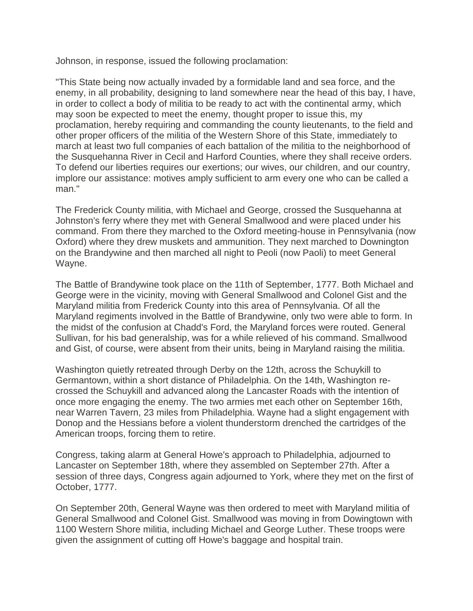Johnson, in response, issued the following proclamation:

"This State being now actually invaded by a formidable land and sea force, and the enemy, in all probability, designing to land somewhere near the head of this bay, I have, in order to collect a body of militia to be ready to act with the continental army, which may soon be expected to meet the enemy, thought proper to issue this, my proclamation, hereby requiring and commanding the county lieutenants, to the field and other proper officers of the militia of the Western Shore of this State, immediately to march at least two full companies of each battalion of the militia to the neighborhood of the Susquehanna River in Cecil and Harford Counties, where they shall receive orders. To defend our liberties requires our exertions; our wives, our children, and our country, implore our assistance: motives amply sufficient to arm every one who can be called a man."

The Frederick County militia, with Michael and George, crossed the Susquehanna at Johnston's ferry where they met with General Smallwood and were placed under his command. From there they marched to the Oxford meeting-house in Pennsylvania (now Oxford) where they drew muskets and ammunition. They next marched to Downington on the Brandywine and then marched all night to Peoli (now Paoli) to meet General Wayne.

The Battle of Brandywine took place on the 11th of September, 1777. Both Michael and George were in the vicinity, moving with General Smallwood and Colonel Gist and the Maryland militia from Frederick County into this area of Pennsylvania. Of all the Maryland regiments involved in the Battle of Brandywine, only two were able to form. In the midst of the confusion at Chadd's Ford, the Maryland forces were routed. General Sullivan, for his bad generalship, was for a while relieved of his command. Smallwood and Gist, of course, were absent from their units, being in Maryland raising the militia.

Washington quietly retreated through Derby on the 12th, across the Schuykill to Germantown, within a short distance of Philadelphia. On the 14th, Washington recrossed the Schuykill and advanced along the Lancaster Roads with the intention of once more engaging the enemy. The two armies met each other on September 16th, near Warren Tavern, 23 miles from Philadelphia. Wayne had a slight engagement with Donop and the Hessians before a violent thunderstorm drenched the cartridges of the American troops, forcing them to retire.

Congress, taking alarm at General Howe's approach to Philadelphia, adjourned to Lancaster on September 18th, where they assembled on September 27th. After a session of three days, Congress again adjourned to York, where they met on the first of October, 1777.

On September 20th, General Wayne was then ordered to meet with Maryland militia of General Smallwood and Colonel Gist. Smallwood was moving in from Dowingtown with 1100 Western Shore militia, including Michael and George Luther. These troops were given the assignment of cutting off Howe's baggage and hospital train.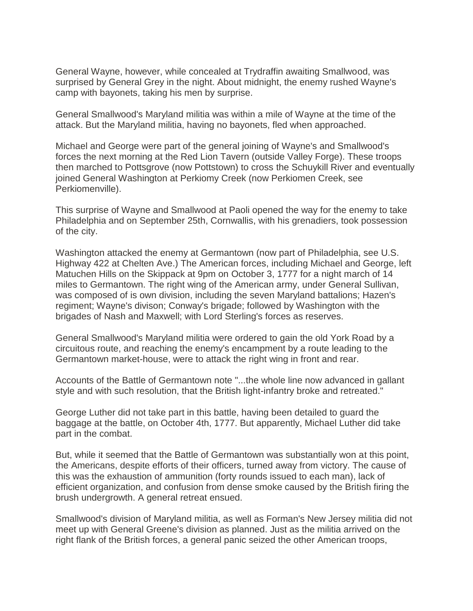General Wayne, however, while concealed at Trydraffin awaiting Smallwood, was surprised by General Grey in the night. About midnight, the enemy rushed Wayne's camp with bayonets, taking his men by surprise.

General Smallwood's Maryland militia was within a mile of Wayne at the time of the attack. But the Maryland militia, having no bayonets, fled when approached.

Michael and George were part of the general joining of Wayne's and Smallwood's forces the next morning at the Red Lion Tavern (outside Valley Forge). These troops then marched to Pottsgrove (now Pottstown) to cross the Schuykill River and eventually joined General Washington at Perkiomy Creek (now Perkiomen Creek, see Perkiomenville).

This surprise of Wayne and Smallwood at Paoli opened the way for the enemy to take Philadelphia and on September 25th, Cornwallis, with his grenadiers, took possession of the city.

Washington attacked the enemy at Germantown (now part of Philadelphia, see U.S. Highway 422 at Chelten Ave.) The American forces, including Michael and George, left Matuchen Hills on the Skippack at 9pm on October 3, 1777 for a night march of 14 miles to Germantown. The right wing of the American army, under General Sullivan, was composed of is own division, including the seven Maryland battalions; Hazen's regiment; Wayne's divison; Conway's brigade; followed by Washington with the brigades of Nash and Maxwell; with Lord Sterling's forces as reserves.

General Smallwood's Maryland militia were ordered to gain the old York Road by a circuitous route, and reaching the enemy's encampment by a route leading to the Germantown market-house, were to attack the right wing in front and rear.

Accounts of the Battle of Germantown note "...the whole line now advanced in gallant style and with such resolution, that the British light-infantry broke and retreated."

George Luther did not take part in this battle, having been detailed to guard the baggage at the battle, on October 4th, 1777. But apparently, Michael Luther did take part in the combat.

But, while it seemed that the Battle of Germantown was substantially won at this point, the Americans, despite efforts of their officers, turned away from victory. The cause of this was the exhaustion of ammunition (forty rounds issued to each man), lack of efficient organization, and confusion from dense smoke caused by the British firing the brush undergrowth. A general retreat ensued.

Smallwood's division of Maryland militia, as well as Forman's New Jersey militia did not meet up with General Greene's division as planned. Just as the militia arrived on the right flank of the British forces, a general panic seized the other American troops,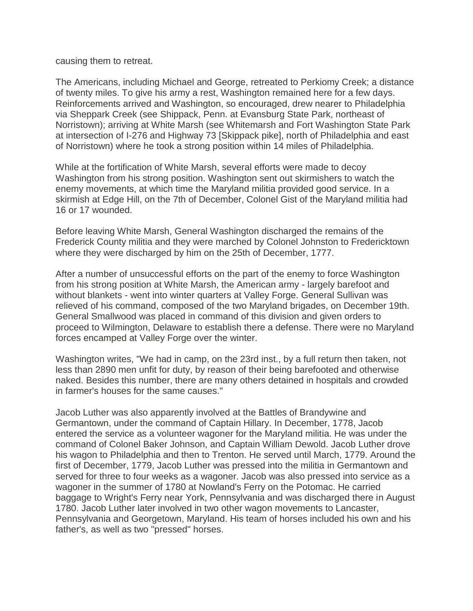causing them to retreat.

The Americans, including Michael and George, retreated to Perkiomy Creek; a distance of twenty miles. To give his army a rest, Washington remained here for a few days. Reinforcements arrived and Washington, so encouraged, drew nearer to Philadelphia via Sheppark Creek (see Shippack, Penn. at Evansburg State Park, northeast of Norristown); arriving at White Marsh (see Whitemarsh and Fort Washington State Park at intersection of I-276 and Highway 73 [Skippack pike], north of Philadelphia and east of Norristown) where he took a strong position within 14 miles of Philadelphia.

While at the fortification of White Marsh, several efforts were made to decoy Washington from his strong position. Washington sent out skirmishers to watch the enemy movements, at which time the Maryland militia provided good service. In a skirmish at Edge Hill, on the 7th of December, Colonel Gist of the Maryland militia had 16 or 17 wounded.

Before leaving White Marsh, General Washington discharged the remains of the Frederick County militia and they were marched by Colonel Johnston to Fredericktown where they were discharged by him on the 25th of December, 1777.

After a number of unsuccessful efforts on the part of the enemy to force Washington from his strong position at White Marsh, the American army - largely barefoot and without blankets - went into winter quarters at Valley Forge. General Sullivan was relieved of his command, composed of the two Maryland brigades, on December 19th. General Smallwood was placed in command of this division and given orders to proceed to Wilmington, Delaware to establish there a defense. There were no Maryland forces encamped at Valley Forge over the winter.

Washington writes, "We had in camp, on the 23rd inst., by a full return then taken, not less than 2890 men unfit for duty, by reason of their being barefooted and otherwise naked. Besides this number, there are many others detained in hospitals and crowded in farmer's houses for the same causes."

Jacob Luther was also apparently involved at the Battles of Brandywine and Germantown, under the command of Captain Hillary. In December, 1778, Jacob entered the service as a volunteer wagoner for the Maryland militia. He was under the command of Colonel Baker Johnson, and Captain William Dewold. Jacob Luther drove his wagon to Philadelphia and then to Trenton. He served until March, 1779. Around the first of December, 1779, Jacob Luther was pressed into the militia in Germantown and served for three to four weeks as a wagoner. Jacob was also pressed into service as a wagoner in the summer of 1780 at Nowland's Ferry on the Potomac. He carried baggage to Wright's Ferry near York, Pennsylvania and was discharged there in August 1780. Jacob Luther later involved in two other wagon movements to Lancaster, Pennsylvania and Georgetown, Maryland. His team of horses included his own and his father's, as well as two "pressed" horses.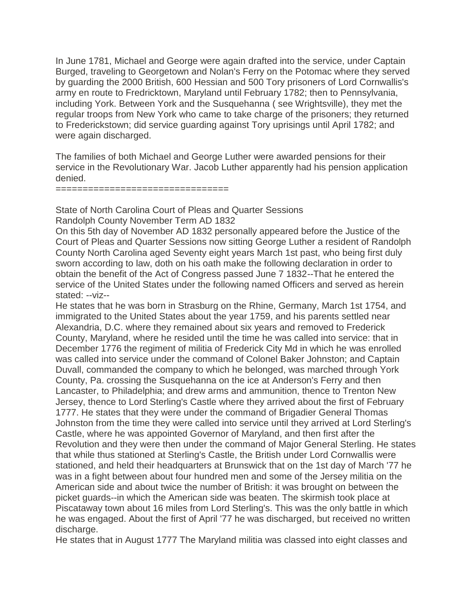In June 1781, Michael and George were again drafted into the service, under Captain Burged, traveling to Georgetown and Nolan's Ferry on the Potomac where they served by guarding the 2000 British, 600 Hessian and 500 Tory prisoners of Lord Cornwallis's army en route to Fredricktown, Maryland until February 1782; then to Pennsylvania, including York. Between York and the Susquehanna ( see Wrightsville), they met the regular troops from New York who came to take charge of the prisoners; they returned to Frederickstown; did service guarding against Tory uprisings until April 1782; and were again discharged.

The families of both Michael and George Luther were awarded pensions for their service in the Revolutionary War. Jacob Luther apparently had his pension application denied.

 $=$ =========

State of North Carolina Court of Pleas and Quarter Sessions Randolph County November Term AD 1832

On this 5th day of November AD 1832 personally appeared before the Justice of the Court of Pleas and Quarter Sessions now sitting George Luther a resident of Randolph County North Carolina aged Seventy eight years March 1st past, who being first duly sworn according to law, doth on his oath make the following declaration in order to obtain the benefit of the Act of Congress passed June 7 1832--That he entered the service of the United States under the following named Officers and served as herein stated: --viz--

He states that he was born in Strasburg on the Rhine, Germany, March 1st 1754, and immigrated to the United States about the year 1759, and his parents settled near Alexandria, D.C. where they remained about six years and removed to Frederick County, Maryland, where he resided until the time he was called into service: that in December 1776 the regiment of militia of Frederick City Md in which he was enrolled was called into service under the command of Colonel Baker Johnston; and Captain Duvall, commanded the company to which he belonged, was marched through York County, Pa. crossing the Susquehanna on the ice at Anderson's Ferry and then Lancaster, to Philadelphia; and drew arms and ammunition, thence to Trenton New Jersey, thence to Lord Sterling's Castle where they arrived about the first of February 1777. He states that they were under the command of Brigadier General Thomas Johnston from the time they were called into service until they arrived at Lord Sterling's Castle, where he was appointed Governor of Maryland, and then first after the Revolution and they were then under the command of Major General Sterling. He states that while thus stationed at Sterling's Castle, the British under Lord Cornwallis were stationed, and held their headquarters at Brunswick that on the 1st day of March '77 he was in a fight between about four hundred men and some of the Jersey militia on the American side and about twice the number of British: it was brought on between the picket guards--in which the American side was beaten. The skirmish took place at Piscataway town about 16 miles from Lord Sterling's. This was the only battle in which he was engaged. About the first of April '77 he was discharged, but received no written discharge.

He states that in August 1777 The Maryland militia was classed into eight classes and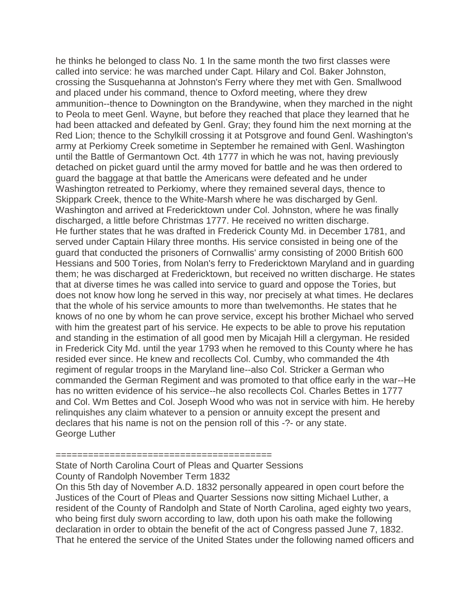he thinks he belonged to class No. 1 In the same month the two first classes were called into service: he was marched under Capt. Hilary and Col. Baker Johnston, crossing the Susquehanna at Johnston's Ferry where they met with Gen. Smallwood and placed under his command, thence to Oxford meeting, where they drew ammunition--thence to Downington on the Brandywine, when they marched in the night to Peola to meet Genl. Wayne, but before they reached that place they learned that he had been attacked and defeated by Genl. Gray; they found him the next morning at the Red Lion; thence to the Schylkill crossing it at Potsgrove and found Genl. Washington's army at Perkiomy Creek sometime in September he remained with Genl. Washington until the Battle of Germantown Oct. 4th 1777 in which he was not, having previously detached on picket guard until the army moved for battle and he was then ordered to guard the baggage at that battle the Americans were defeated and he under Washington retreated to Perkiomy, where they remained several days, thence to Skippark Creek, thence to the White-Marsh where he was discharged by Genl. Washington and arrived at Fredericktown under Col. Johnston, where he was finally discharged, a little before Christmas 1777. He received no written discharge. He further states that he was drafted in Frederick County Md. in December 1781, and served under Captain Hilary three months. His service consisted in being one of the guard that conducted the prisoners of Cornwallis' army consisting of 2000 British 600 Hessians and 500 Tories, from Nolan's ferry to Fredericktown Maryland and in guarding them; he was discharged at Fredericktown, but received no written discharge. He states that at diverse times he was called into service to guard and oppose the Tories, but does not know how long he served in this way, nor precisely at what times. He declares that the whole of his service amounts to more than twelvemonths. He states that he knows of no one by whom he can prove service, except his brother Michael who served with him the greatest part of his service. He expects to be able to prove his reputation and standing in the estimation of all good men by Micajah Hill a clergyman. He resided in Frederick City Md. until the year 1793 when he removed to this County where he has resided ever since. He knew and recollects Col. Cumby, who commanded the 4th regiment of regular troops in the Maryland line--also Col. Stricker a German who commanded the German Regiment and was promoted to that office early in the war--He has no written evidence of his service--he also recollects Col. Charles Bettes in 1777 and Col. Wm Bettes and Col. Joseph Wood who was not in service with him. He hereby relinquishes any claim whatever to a pension or annuity except the present and declares that his name is not on the pension roll of this -?- or any state. George Luther

========================================

State of North Carolina Court of Pleas and Quarter Sessions County of Randolph November Term 1832

On this 5th day of November A.D. 1832 personally appeared in open court before the Justices of the Court of Pleas and Quarter Sessions now sitting Michael Luther, a resident of the County of Randolph and State of North Carolina, aged eighty two years, who being first duly sworn according to law, doth upon his oath make the following declaration in order to obtain the benefit of the act of Congress passed June 7, 1832. That he entered the service of the United States under the following named officers and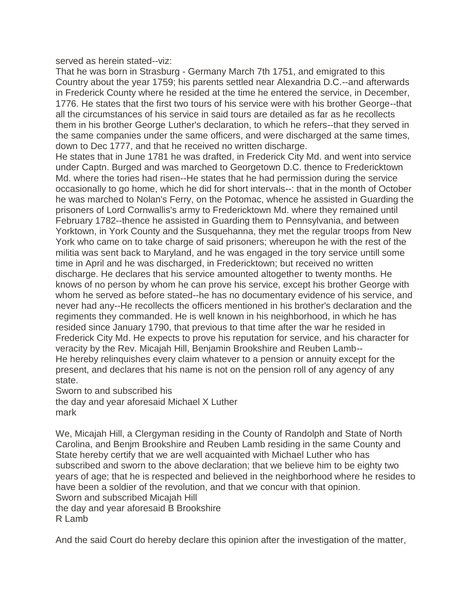served as herein stated--viz:

That he was born in Strasburg - Germany March 7th 1751, and emigrated to this Country about the year 1759; his parents settled near Alexandria D.C.--and afterwards in Frederick County where he resided at the time he entered the service, in December, 1776. He states that the first two tours of his service were with his brother George--that all the circumstances of his service in said tours are detailed as far as he recollects them in his brother George Luther's declaration, to which he refers--that they served in the same companies under the same officers, and were discharged at the same times, down to Dec 1777, and that he received no written discharge.

He states that in June 1781 he was drafted, in Frederick City Md. and went into service under Captn. Burged and was marched to Georgetown D.C. thence to Fredericktown Md. where the tories had risen--He states that he had permission during the service occasionally to go home, which he did for short intervals--: that in the month of October he was marched to Nolan's Ferry, on the Potomac, whence he assisted in Guarding the prisoners of Lord Cornwallis's army to Fredericktown Md. where they remained until February 1782--thence he assisted in Guarding them to Pennsylvania, and between Yorktown, in York County and the Susquehanna, they met the regular troops from New York who came on to take charge of said prisoners; whereupon he with the rest of the militia was sent back to Maryland, and he was engaged in the tory service untill some time in April and he was discharged, in Fredericktown; but received no written discharge. He declares that his service amounted altogether to twenty months. He knows of no person by whom he can prove his service, except his brother George with whom he served as before stated--he has no documentary evidence of his service, and never had any--He recollects the officers mentioned in his brother's declaration and the regiments they commanded. He is well known in his neighborhood, in which he has resided since January 1790, that previous to that time after the war he resided in Frederick City Md. He expects to prove his reputation for service, and his character for veracity by the Rev. Micajah Hill, Benjamin Brookshire and Reuben Lamb-- He hereby relinquishes every claim whatever to a pension or annuity except for the present, and declares that his name is not on the pension roll of any agency of any state.

Sworn to and subscribed his the day and year aforesaid Michael X Luther mark

We, Micajah Hill, a Clergyman residing in the County of Randolph and State of North Carolina, and Benjm Brookshire and Reuben Lamb residing in the same County and State hereby certify that we are well acquainted with Michael Luther who has subscribed and sworn to the above declaration; that we believe him to be eighty two years of age; that he is respected and believed in the neighborhood where he resides to have been a soldier of the revolution, and that we concur with that opinion. Sworn and subscribed Micajah Hill

the day and year aforesaid B Brookshire R Lamb

And the said Court do hereby declare this opinion after the investigation of the matter,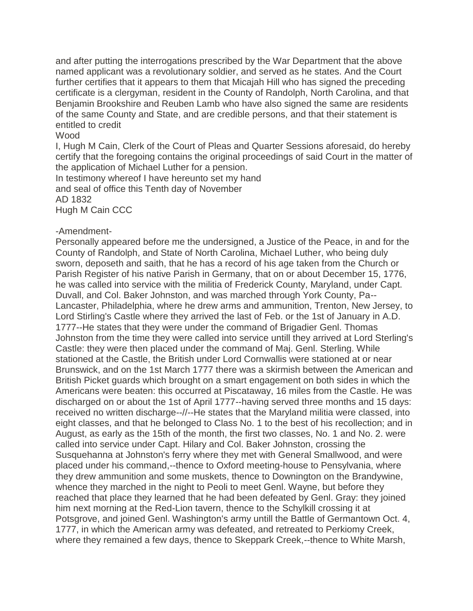and after putting the interrogations prescribed by the War Department that the above named applicant was a revolutionary soldier, and served as he states. And the Court further certifies that it appears to them that Micajah Hill who has signed the preceding certificate is a clergyman, resident in the County of Randolph, North Carolina, and that Benjamin Brookshire and Reuben Lamb who have also signed the same are residents of the same County and State, and are credible persons, and that their statement is entitled to credit

## Wood

I, Hugh M Cain, Clerk of the Court of Pleas and Quarter Sessions aforesaid, do hereby certify that the foregoing contains the original proceedings of said Court in the matter of the application of Michael Luther for a pension.

In testimony whereof I have hereunto set my hand

and seal of office this Tenth day of November AD 1832

Hugh M Cain CCC

## -Amendment-

Personally appeared before me the undersigned, a Justice of the Peace, in and for the County of Randolph, and State of North Carolina, Michael Luther, who being duly sworn, deposeth and saith, that he has a record of his age taken from the Church or Parish Register of his native Parish in Germany, that on or about December 15, 1776, he was called into service with the militia of Frederick County, Maryland, under Capt. Duvall, and Col. Baker Johnston, and was marched through York County, Pa-- Lancaster, Philadelphia, where he drew arms and ammunition, Trenton, New Jersey, to Lord Stirling's Castle where they arrived the last of Feb. or the 1st of January in A.D. 1777--He states that they were under the command of Brigadier Genl. Thomas Johnston from the time they were called into service untill they arrived at Lord Sterling's Castle: they were then placed under the command of Maj. Genl. Sterling. While stationed at the Castle, the British under Lord Cornwallis were stationed at or near Brunswick, and on the 1st March 1777 there was a skirmish between the American and British Picket guards which brought on a smart engagement on both sides in which the Americans were beaten: this occurred at Piscataway, 16 miles from the Castle. He was discharged on or about the 1st of April 1777--having served three months and 15 days: received no written discharge--//--He states that the Maryland militia were classed, into eight classes, and that he belonged to Class No. 1 to the best of his recollection; and in August, as early as the 15th of the month, the first two classes, No. 1 and No. 2. were called into service under Capt. Hilary and Col. Baker Johnston, crossing the Susquehanna at Johnston's ferry where they met with General Smallwood, and were placed under his command,--thence to Oxford meeting-house to Pensylvania, where they drew ammunition and some muskets, thence to Downington on the Brandywine, whence they marched in the night to Peoli to meet Genl. Wayne, but before they reached that place they learned that he had been defeated by Genl. Gray: they joined him next morning at the Red-Lion tavern, thence to the Schylkill crossing it at Potsgrove, and joined Genl. Washington's army untill the Battle of Germantown Oct. 4, 1777, in which the American army was defeated, and retreated to Perkiomy Creek, where they remained a few days, thence to Skeppark Creek,--thence to White Marsh,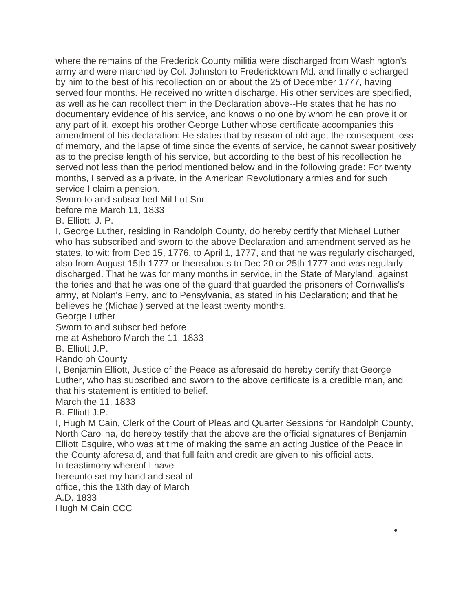where the remains of the Frederick County militia were discharged from Washington's army and were marched by Col. Johnston to Fredericktown Md. and finally discharged by him to the best of his recollection on or about the 25 of December 1777, having served four months. He received no written discharge. His other services are specified, as well as he can recollect them in the Declaration above--He states that he has no documentary evidence of his service, and knows o no one by whom he can prove it or any part of it, except his brother George Luther whose certificate accompanies this amendment of his declaration: He states that by reason of old age, the consequent loss of memory, and the lapse of time since the events of service, he cannot swear positively as to the precise length of his service, but according to the best of his recollection he served not less than the period mentioned below and in the following grade: For twenty months, I served as a private, in the American Revolutionary armies and for such service I claim a pension.

Sworn to and subscribed Mil Lut Snr

before me March 11, 1833

B. Elliott, J. P.

I, George Luther, residing in Randolph County, do hereby certify that Michael Luther who has subscribed and sworn to the above Declaration and amendment served as he states, to wit: from Dec 15, 1776, to April 1, 1777, and that he was regularly discharged, also from August 15th 1777 or thereabouts to Dec 20 or 25th 1777 and was regularly discharged. That he was for many months in service, in the State of Maryland, against the tories and that he was one of the guard that guarded the prisoners of Cornwallis's army, at Nolan's Ferry, and to Pensylvania, as stated in his Declaration; and that he believes he (Michael) served at the least twenty months.

George Luther

Sworn to and subscribed before

me at Asheboro March the 11, 1833

B. Elliott J.P.

Randolph County

I, Benjamin Elliott, Justice of the Peace as aforesaid do hereby certify that George Luther, who has subscribed and sworn to the above certificate is a credible man, and that his statement is entitled to belief.

March the 11, 1833

B. Elliott J.P.

I, Hugh M Cain, Clerk of the Court of Pleas and Quarter Sessions for Randolph County, North Carolina, do hereby testify that the above are the official signatures of Benjamin Elliott Esquire, who was at time of making the same an acting Justice of the Peace in the County aforesaid, and that full faith and credit are given to his official acts.

 $\bullet$ 

In teastimony whereof I have

hereunto set my hand and seal of office, this the 13th day of March

A.D. 1833

Hugh M Cain CCC